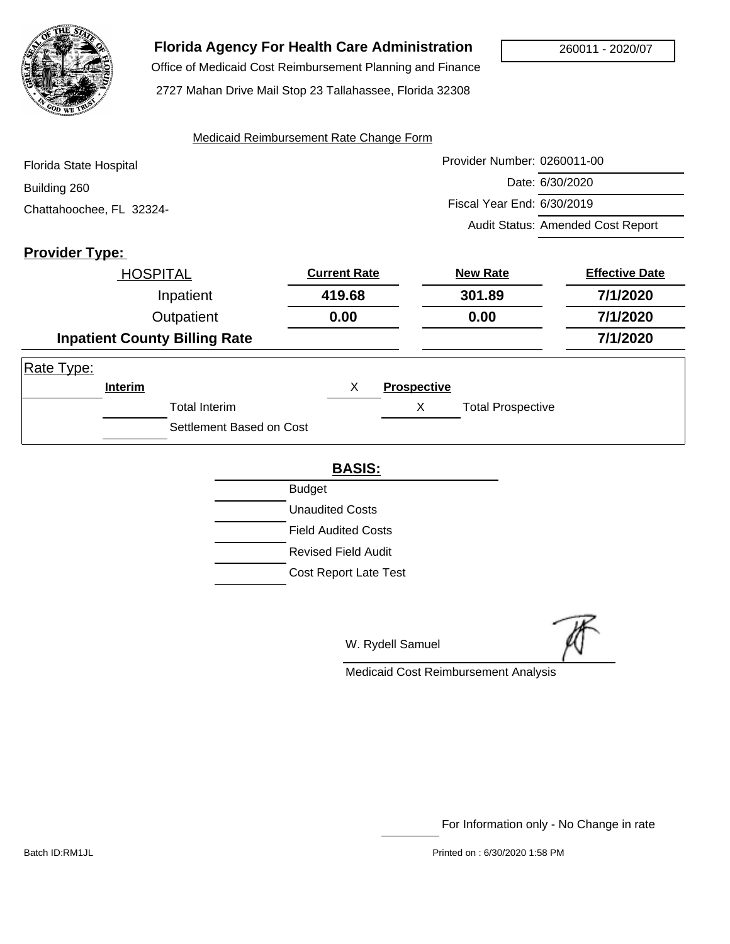

## **Florida Agency For Health Care Administration**

Office of Medicaid Cost Reimbursement Planning and Finance

2727 Mahan Drive Mail Stop 23 Tallahassee, Florida 32308

#### Medicaid Reimbursement Rate Change Form

| Florida State Hospital   | Provider Number: 0260011-00       |
|--------------------------|-----------------------------------|
| Building 260             | Date: 6/30/2020                   |
| Chattahoochee, FL 32324- | Fiscal Year End: 6/30/2019        |
|                          | Audit Status: Amended Cost Report |

## **Provider Type:**

|            | <b>HOSPITAL</b> |                                      | <b>Current Rate</b> |                    | <b>New Rate</b>          | <b>Effective Date</b> |
|------------|-----------------|--------------------------------------|---------------------|--------------------|--------------------------|-----------------------|
|            |                 | Inpatient                            | 419.68              |                    | 301.89                   | 7/1/2020              |
|            | Outpatient      |                                      | 0.00                |                    | 0.00                     | 7/1/2020              |
|            |                 | <b>Inpatient County Billing Rate</b> |                     |                    |                          | 7/1/2020              |
| Rate Type: |                 |                                      |                     |                    |                          |                       |
|            | Interim         |                                      | X                   | <b>Prospective</b> |                          |                       |
|            |                 | <b>Total Interim</b>                 |                     | Χ                  | <b>Total Prospective</b> |                       |
|            |                 | Settlement Based on Cost             |                     |                    |                          |                       |

#### **BASIS:**

| <b>Budget</b>                |
|------------------------------|
| <b>Unaudited Costs</b>       |
| <b>Field Audited Costs</b>   |
| Revised Field Audit          |
| <b>Cost Report Late Test</b> |

W. Rydell Samuel

Medicaid Cost Reimbursement Analysis

For Information only - No Change in rate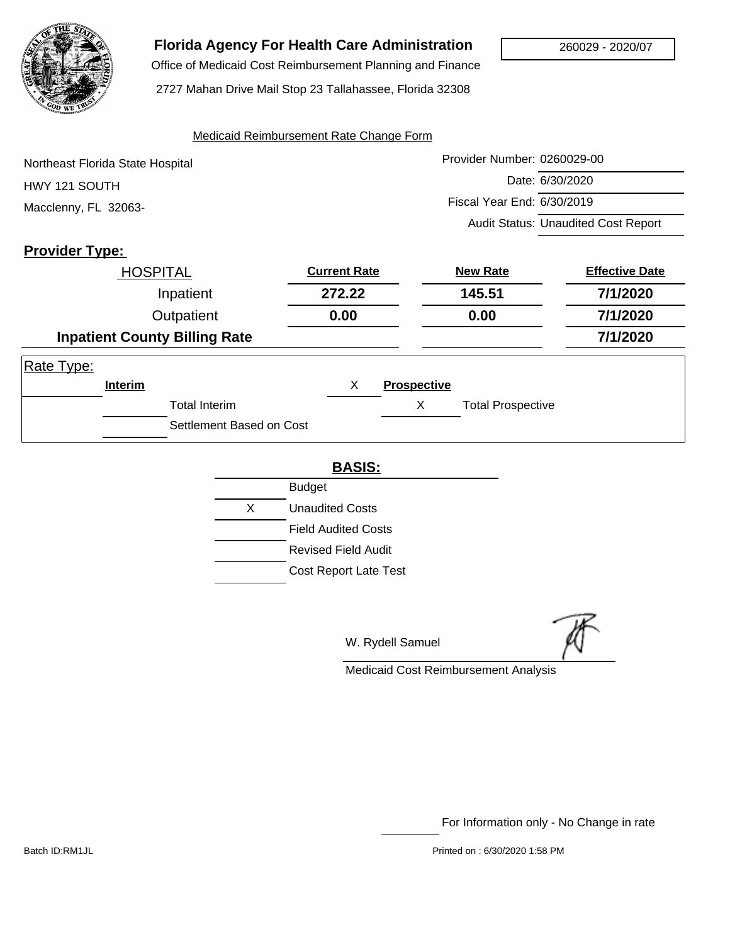

# **Florida Agency For Health Care Administration**

 Office of Medicaid Cost Reimbursement Planning and Finance 2727 Mahan Drive Mail Stop 23 Tallahassee, Florida 32308

#### Medicaid Reimbursement Rate Change Form

| Northeast Florida State Hospital | Provider Number: 0260029-00                |
|----------------------------------|--------------------------------------------|
| HWY 121 SOUTH                    | Date: 6/30/2020                            |
| Macclenny, FL 32063-             | Fiscal Year End: 6/30/2019                 |
|                                  | <b>Audit Status: Unaudited Cost Report</b> |

## **Provider Type:**

| <b>HOSPITAL</b> |           | <b>Current Rate</b>                  | <b>New Rate</b> |                    | <b>Effective Date</b>    |          |
|-----------------|-----------|--------------------------------------|-----------------|--------------------|--------------------------|----------|
|                 | Inpatient |                                      | 272.22          |                    | 145.51                   | 7/1/2020 |
| Outpatient      |           | 0.00                                 |                 | 0.00               | 7/1/2020                 |          |
|                 |           | <b>Inpatient County Billing Rate</b> |                 |                    |                          | 7/1/2020 |
| Rate Type:      |           |                                      |                 |                    |                          |          |
|                 | Interim   |                                      | X               | <b>Prospective</b> |                          |          |
|                 |           | <b>Total Interim</b>                 |                 | X                  | <b>Total Prospective</b> |          |
|                 |           | Settlement Based on Cost             |                 |                    |                          |          |

#### **BASIS:**

|   | <b>Budget</b>              |
|---|----------------------------|
| X | Unaudited Costs            |
|   | <b>Field Audited Costs</b> |
|   | Revised Field Audit        |
|   | Cost Report Late Test      |

W. Rydell Samuel

Medicaid Cost Reimbursement Analysis

For Information only - No Change in rate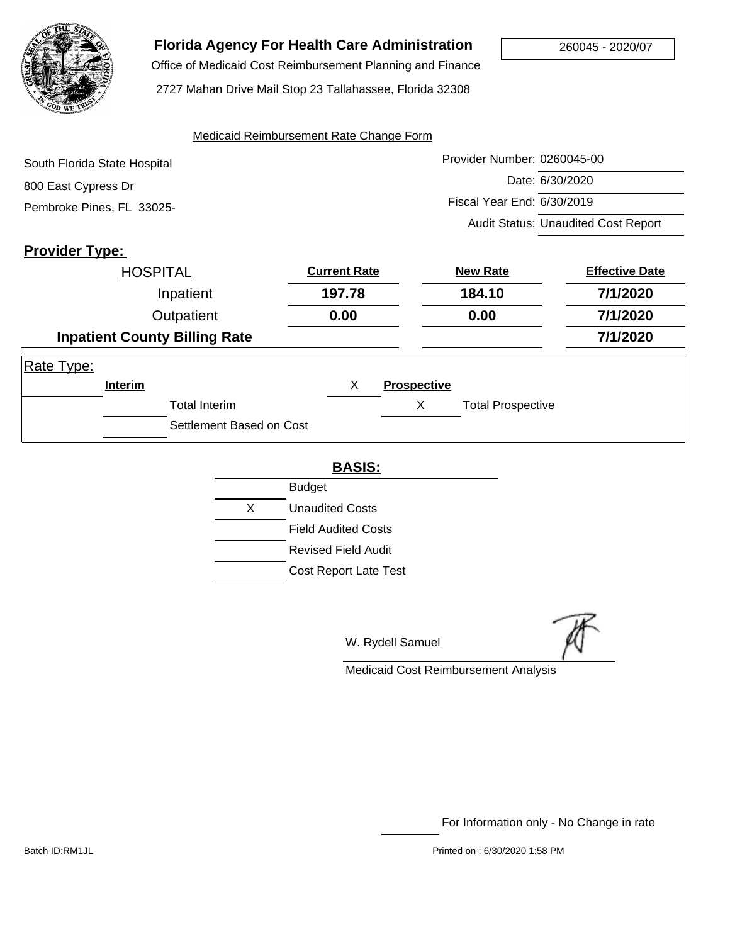

# **Florida Agency For Health Care Administration**

 Office of Medicaid Cost Reimbursement Planning and Finance 2727 Mahan Drive Mail Stop 23 Tallahassee, Florida 32308

#### Medicaid Reimbursement Rate Change Form

| South Florida State Hospital | Provider Number: 0260045-00                |
|------------------------------|--------------------------------------------|
| 800 East Cypress Dr          | Date: 6/30/2020                            |
| Pembroke Pines, FL 33025-    | Fiscal Year End: 6/30/2019                 |
|                              | <b>Audit Status: Unaudited Cost Report</b> |

## **Provider Type:**

| <b>HOSPITAL</b> |           | <b>Current Rate</b>                  | <b>New Rate</b> |                    | <b>Effective Date</b>    |          |
|-----------------|-----------|--------------------------------------|-----------------|--------------------|--------------------------|----------|
|                 | Inpatient |                                      | 197.78          |                    | 184.10                   | 7/1/2020 |
| Outpatient      |           | 0.00                                 |                 | 0.00               | 7/1/2020                 |          |
|                 |           | <b>Inpatient County Billing Rate</b> |                 |                    |                          | 7/1/2020 |
| Rate Type:      |           |                                      |                 |                    |                          |          |
|                 | Interim   |                                      | X               | <b>Prospective</b> |                          |          |
|                 |           | <b>Total Interim</b>                 |                 | X                  | <b>Total Prospective</b> |          |
|                 |           | Settlement Based on Cost             |                 |                    |                          |          |

#### **BASIS:**

| <b>Budget</b>                |
|------------------------------|
| <b>Unaudited Costs</b>       |
| <b>Field Audited Costs</b>   |
| Revised Field Audit          |
| <b>Cost Report Late Test</b> |
|                              |

W. Rydell Samuel

Medicaid Cost Reimbursement Analysis

For Information only - No Change in rate